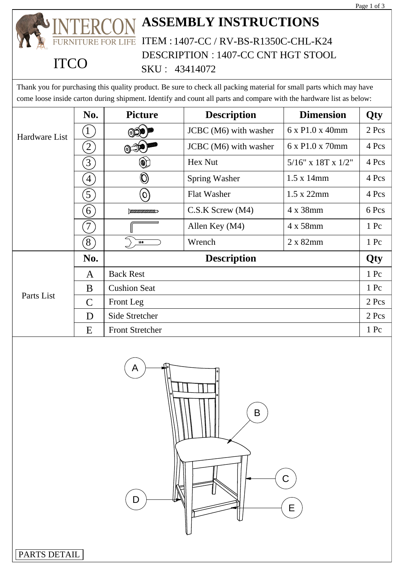

|               |                  |                                | DESCRIPTION : 1407-CC CNT HGT STOOL                                                                                                                                                                                                        |                      |            |  |
|---------------|------------------|--------------------------------|--------------------------------------------------------------------------------------------------------------------------------------------------------------------------------------------------------------------------------------------|----------------------|------------|--|
|               |                  |                                | SKU: 43414072                                                                                                                                                                                                                              |                      |            |  |
|               |                  |                                | Thank you for purchasing this quality product. Be sure to check all packing material for small parts which may have<br>come loose inside carton during shipment. Identify and count all parts and compare with the hardware list as below: |                      |            |  |
|               | No.              | <b>Picture</b>                 | <b>Description</b>                                                                                                                                                                                                                         | <b>Dimension</b>     | <b>Qty</b> |  |
| Hardware List |                  |                                | JCBC (M6) with washer                                                                                                                                                                                                                      | 6 x P1.0 x 40mm      | $2$ Pcs    |  |
|               | $\left(2\right)$ | $\circledcirc$                 | JCBC (M6) with washer                                                                                                                                                                                                                      | 6 x P1.0 x 70mm      | 4 Pcs      |  |
|               | $\left(3\right)$ | Q                              | Hex Nut                                                                                                                                                                                                                                    | $5/16"$ x 18T x 1/2" | 4 Pcs      |  |
|               | $\left(4\right)$ | $\textcircled{\scriptsize{0}}$ | <b>Spring Washer</b>                                                                                                                                                                                                                       | $1.5 \times 14$ mm   | 4 Pcs      |  |
|               | $\left(5\right)$ | $\mathcal{S}(\mathbf{O})$      | <b>Flat Washer</b>                                                                                                                                                                                                                         | $1.5 \times 22$ mm   | 4 Pcs      |  |
|               | $\left(6\right)$ | $\mu$                          | $C.S.K$ Screw $(M4)$                                                                                                                                                                                                                       | 4 x 38mm             | 6 Pcs      |  |
|               | $7\,$            |                                | Allen Key (M4)                                                                                                                                                                                                                             | 4 x 58mm             | 1 Pc       |  |
|               | (8)              | 12.8                           | Wrench                                                                                                                                                                                                                                     | 2 x 82mm             | 1 Pc       |  |
| Parts List    | No.              | <b>Description</b>             |                                                                                                                                                                                                                                            |                      | Qty        |  |
|               | A                | <b>Back Rest</b>               |                                                                                                                                                                                                                                            |                      | 1 Pc       |  |
|               | B                | <b>Cushion Seat</b>            |                                                                                                                                                                                                                                            |                      | 1 Pc       |  |
|               | $\mathcal{C}$    | Front Leg                      |                                                                                                                                                                                                                                            |                      | 2 Pcs      |  |
|               | D                | Side Stretcher                 |                                                                                                                                                                                                                                            |                      | 2 Pcs      |  |
|               | E                | <b>Front Stretcher</b>         |                                                                                                                                                                                                                                            |                      | 1 Pc       |  |

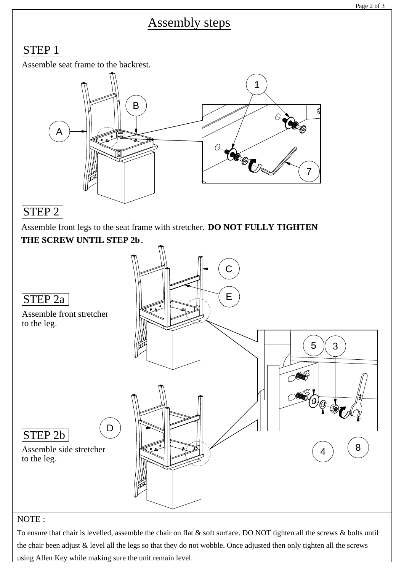# Assembly steps

### STEP<sub>1</sub>

Assemble seat frame to the backrest.



## STEP 2

Assemble front legs to the seat frame with stretcher. **DO NOT FULLY TIGHTEN THE SCREW UNTIL STEP 2b.**



### NOTE :

To ensure that chair is levelled, assemble the chair on flat & soft surface. DO NOT tighten all the screws & bolts until the chair been adjust & level all the legs so that they do not wobble. Once adjusted then only tighten all the screws using Allen Key while making sure the unit remain level.